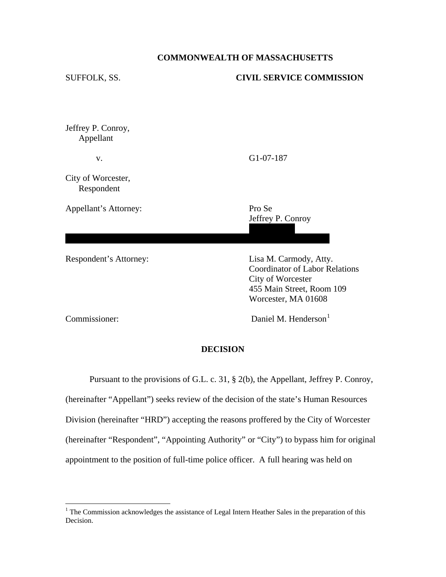## **COMMONWEALTH OF MASSACHUSETTS**

# SUFFOLK, SS. **CIVIL SERVICE COMMISSION** Jeffrey P. Conroy, Appellant v. G1-07-187 City of Worcester, Respondent Appellant's Attorney: Pro Se Jeffrey P. Conroy 12 National St. (1982). The control of the state of the state of the state of the state of the state of the st World and Management and Management and Management and Management and Management and Respondent's Attorney: Lisa M. Carmody, Atty. Coordinator of Labor Relations City of Worcester 455 Main Street, Room 109 Worcester, MA 01608 Commissioner: Daniel M. Henderson<sup>[1](#page-0-0)</sup>

# **DECISION**

 Pursuant to the provisions of G.L. c. 31, § 2(b), the Appellant, Jeffrey P. Conroy, (hereinafter "Appellant") seeks review of the decision of the state's Human Resources Division (hereinafter "HRD") accepting the reasons proffered by the City of Worcester (hereinafter "Respondent", "Appointing Authority" or "City") to bypass him for original appointment to the position of full-time police officer. A full hearing was held on

 $\overline{a}$ 

<span id="page-0-0"></span><sup>&</sup>lt;sup>1</sup> The Commission acknowledges the assistance of Legal Intern Heather Sales in the preparation of this Decision.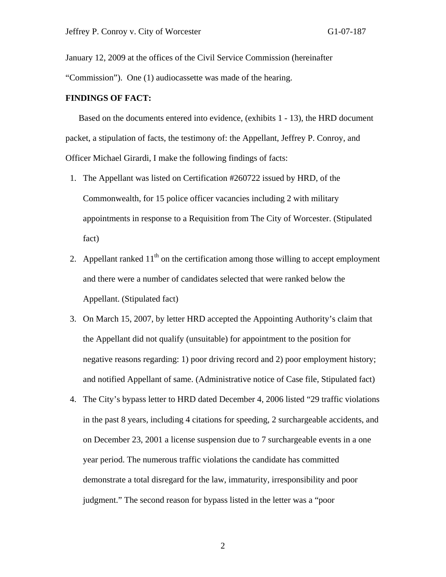January 12, 2009 at the offices of the Civil Service Commission (hereinafter

"Commission"). One (1) audiocassette was made of the hearing.

### **FINDINGS OF FACT:**

Based on the documents entered into evidence, (exhibits 1 - 13), the HRD document packet, a stipulation of facts, the testimony of: the Appellant, Jeffrey P. Conroy, and Officer Michael Girardi, I make the following findings of facts:

- 1. The Appellant was listed on Certification #260722 issued by HRD, of the Commonwealth, for 15 police officer vacancies including 2 with military appointments in response to a Requisition from The City of Worcester. (Stipulated fact)
- 2. Appellant ranked  $11<sup>th</sup>$  on the certification among those willing to accept employment and there were a number of candidates selected that were ranked below the Appellant. (Stipulated fact)
- 3. On March 15, 2007, by letter HRD accepted the Appointing Authority's claim that the Appellant did not qualify (unsuitable) for appointment to the position for negative reasons regarding: 1) poor driving record and 2) poor employment history; and notified Appellant of same. (Administrative notice of Case file, Stipulated fact)
- 4. The City's bypass letter to HRD dated December 4, 2006 listed "29 traffic violations in the past 8 years, including 4 citations for speeding, 2 surchargeable accidents, and on December 23, 2001 a license suspension due to 7 surchargeable events in a one year period. The numerous traffic violations the candidate has committed demonstrate a total disregard for the law, immaturity, irresponsibility and poor judgment." The second reason for bypass listed in the letter was a "poor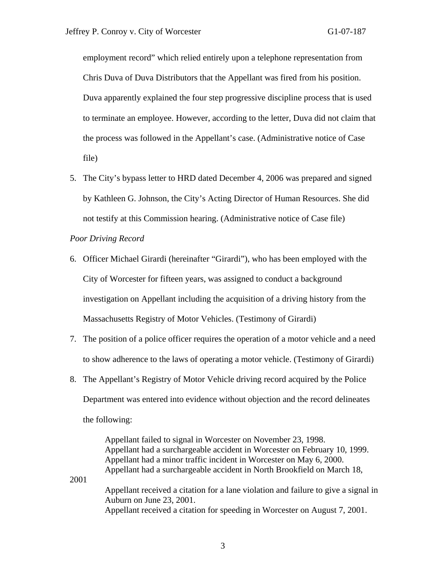employment record" which relied entirely upon a telephone representation from Chris Duva of Duva Distributors that the Appellant was fired from his position. Duva apparently explained the four step progressive discipline process that is used to terminate an employee. However, according to the letter, Duva did not claim that the process was followed in the Appellant's case. (Administrative notice of Case file)

5. The City's bypass letter to HRD dated December 4, 2006 was prepared and signed by Kathleen G. Johnson, the City's Acting Director of Human Resources. She did not testify at this Commission hearing. (Administrative notice of Case file)

## *Poor Driving Record*

2001

- 6. Officer Michael Girardi (hereinafter "Girardi"), who has been employed with the City of Worcester for fifteen years, was assigned to conduct a background investigation on Appellant including the acquisition of a driving history from the Massachusetts Registry of Motor Vehicles. (Testimony of Girardi)
- 7. The position of a police officer requires the operation of a motor vehicle and a need to show adherence to the laws of operating a motor vehicle. (Testimony of Girardi)
- 8. The Appellant's Registry of Motor Vehicle driving record acquired by the Police Department was entered into evidence without objection and the record delineates the following:

 Appellant failed to signal in Worcester on November 23, 1998. Appellant had a surchargeable accident in Worcester on February 10, 1999. Appellant had a minor traffic incident in Worcester on May 6, 2000. Appellant had a surchargeable accident in North Brookfield on March 18, Appellant received a citation for a lane violation and failure to give a signal in Auburn on June 23, 2001.

Appellant received a citation for speeding in Worcester on August 7, 2001.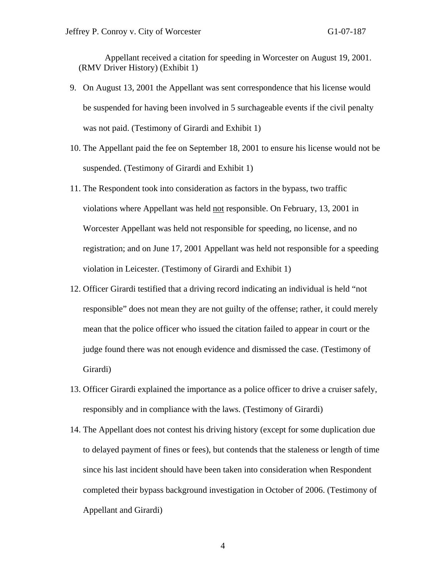Appellant received a citation for speeding in Worcester on August 19, 2001. (RMV Driver History) (Exhibit 1)

- 9. On August 13, 2001 the Appellant was sent correspondence that his license would be suspended for having been involved in 5 surchageable events if the civil penalty was not paid. (Testimony of Girardi and Exhibit 1)
- 10. The Appellant paid the fee on September 18, 2001 to ensure his license would not be suspended. (Testimony of Girardi and Exhibit 1)
- 11. The Respondent took into consideration as factors in the bypass, two traffic violations where Appellant was held **not** responsible. On February, 13, 2001 in Worcester Appellant was held not responsible for speeding, no license, and no registration; and on June 17, 2001 Appellant was held not responsible for a speeding violation in Leicester. (Testimony of Girardi and Exhibit 1)
- 12. Officer Girardi testified that a driving record indicating an individual is held "not responsible" does not mean they are not guilty of the offense; rather, it could merely mean that the police officer who issued the citation failed to appear in court or the judge found there was not enough evidence and dismissed the case. (Testimony of Girardi)
- 13. Officer Girardi explained the importance as a police officer to drive a cruiser safely, responsibly and in compliance with the laws. (Testimony of Girardi)
- 14. The Appellant does not contest his driving history (except for some duplication due to delayed payment of fines or fees), but contends that the staleness or length of time since his last incident should have been taken into consideration when Respondent completed their bypass background investigation in October of 2006. (Testimony of Appellant and Girardi)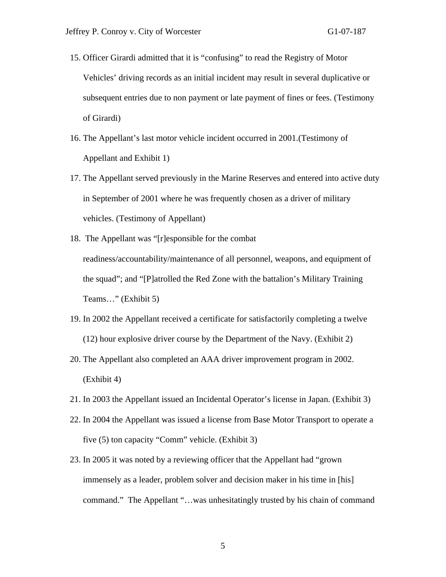- 15. Officer Girardi admitted that it is "confusing" to read the Registry of Motor Vehicles' driving records as an initial incident may result in several duplicative or subsequent entries due to non payment or late payment of fines or fees. (Testimony of Girardi)
- 16. The Appellant's last motor vehicle incident occurred in 2001.(Testimony of Appellant and Exhibit 1)
- 17. The Appellant served previously in the Marine Reserves and entered into active duty in September of 2001 where he was frequently chosen as a driver of military vehicles. (Testimony of Appellant)
- 18. The Appellant was "[r]esponsible for the combat readiness/accountability/maintenance of all personnel, weapons, and equipment of the squad"; and "[P]atrolled the Red Zone with the battalion's Military Training Teams…" (Exhibit 5)
- 19. In 2002 the Appellant received a certificate for satisfactorily completing a twelve (12) hour explosive driver course by the Department of the Navy. (Exhibit 2)
- 20. The Appellant also completed an AAA driver improvement program in 2002. (Exhibit 4)
- 21. In 2003 the Appellant issued an Incidental Operator's license in Japan. (Exhibit 3)
- 22. In 2004 the Appellant was issued a license from Base Motor Transport to operate a five (5) ton capacity "Comm" vehicle. (Exhibit 3)
- 23. In 2005 it was noted by a reviewing officer that the Appellant had "grown immensely as a leader, problem solver and decision maker in his time in [his] command." The Appellant "…was unhesitatingly trusted by his chain of command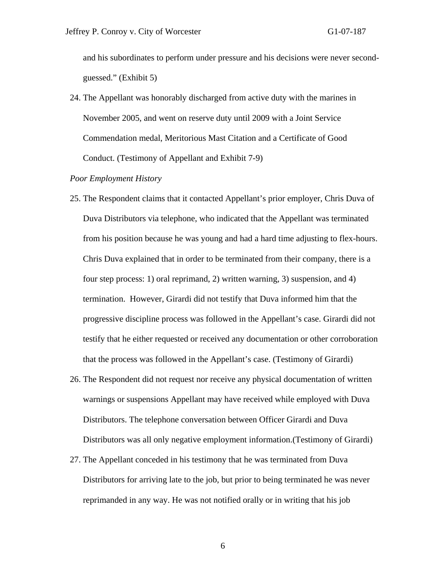and his subordinates to perform under pressure and his decisions were never secondguessed." (Exhibit 5)

24. The Appellant was honorably discharged from active duty with the marines in November 2005, and went on reserve duty until 2009 with a Joint Service Commendation medal, Meritorious Mast Citation and a Certificate of Good Conduct. (Testimony of Appellant and Exhibit 7-9)

### *Poor Employment History*

- 25. The Respondent claims that it contacted Appellant's prior employer, Chris Duva of Duva Distributors via telephone, who indicated that the Appellant was terminated from his position because he was young and had a hard time adjusting to flex-hours. Chris Duva explained that in order to be terminated from their company, there is a four step process: 1) oral reprimand, 2) written warning, 3) suspension, and 4) termination. However, Girardi did not testify that Duva informed him that the progressive discipline process was followed in the Appellant's case. Girardi did not testify that he either requested or received any documentation or other corroboration that the process was followed in the Appellant's case. (Testimony of Girardi)
- 26. The Respondent did not request nor receive any physical documentation of written warnings or suspensions Appellant may have received while employed with Duva Distributors. The telephone conversation between Officer Girardi and Duva Distributors was all only negative employment information.(Testimony of Girardi)
- 27. The Appellant conceded in his testimony that he was terminated from Duva Distributors for arriving late to the job, but prior to being terminated he was never reprimanded in any way. He was not notified orally or in writing that his job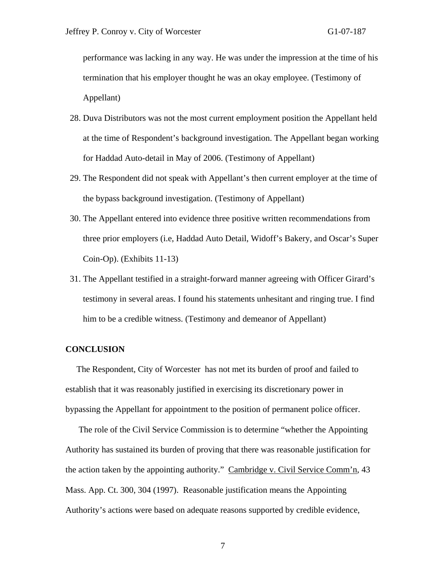performance was lacking in any way. He was under the impression at the time of his termination that his employer thought he was an okay employee. (Testimony of Appellant)

- 28. Duva Distributors was not the most current employment position the Appellant held at the time of Respondent's background investigation. The Appellant began working for Haddad Auto-detail in May of 2006. (Testimony of Appellant)
- 29. The Respondent did not speak with Appellant's then current employer at the time of the bypass background investigation. (Testimony of Appellant)
- 30. The Appellant entered into evidence three positive written recommendations from three prior employers (i.e, Haddad Auto Detail, Widoff's Bakery, and Oscar's Super Coin-Op). (Exhibits 11-13)
- 31. The Appellant testified in a straight-forward manner agreeing with Officer Girard's testimony in several areas. I found his statements unhesitant and ringing true. I find him to be a credible witness. (Testimony and demeanor of Appellant)

## **CONCLUSION**

 The Respondent, City of Worcester has not met its burden of proof and failed to establish that it was reasonably justified in exercising its discretionary power in bypassing the Appellant for appointment to the position of permanent police officer.

 The role of the Civil Service Commission is to determine "whether the Appointing Authority has sustained its burden of proving that there was reasonable justification for the action taken by the appointing authority." Cambridge v. Civil Service Comm'n, 43 Mass. App. Ct. 300, 304 (1997). Reasonable justification means the Appointing Authority's actions were based on adequate reasons supported by credible evidence,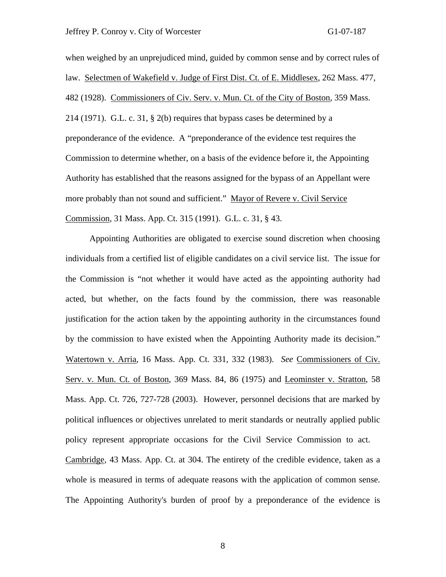#### Jeffrey P. Conroy v. City of Worcester G1-07-187

when weighed by an unprejudiced mind, guided by common sense and by correct rules of law. Selectmen of Wakefield v. Judge of First Dist. Ct. of E. Middlesex, 262 Mass. 477, 482 (1928). Commissioners of Civ. Serv. v. Mun. Ct. of the City of Boston, 359 Mass. 214 (1971). G.L. c. 31, § 2(b) requires that bypass cases be determined by a preponderance of the evidence. A "preponderance of the evidence test requires the Commission to determine whether, on a basis of the evidence before it, the Appointing Authority has established that the reasons assigned for the bypass of an Appellant were more probably than not sound and sufficient." Mayor of Revere v. Civil Service Commission, 31 Mass. App. Ct. 315 (1991). G.L. c. 31, § 43.

 Appointing Authorities are obligated to exercise sound discretion when choosing individuals from a certified list of eligible candidates on a civil service list. The issue for the Commission is "not whether it would have acted as the appointing authority had acted, but whether, on the facts found by the commission, there was reasonable justification for the action taken by the appointing authority in the circumstances found by the commission to have existed when the Appointing Authority made its decision." Watertown v. Arria, 16 Mass. App. Ct. 331, 332 (1983). *See* Commissioners of Civ. Serv. v. Mun. Ct. of Boston, 369 Mass. 84, 86 (1975) and Leominster v. Stratton, 58 Mass. App. Ct. 726, 727-728 (2003). However, personnel decisions that are marked by political influences or objectives unrelated to merit standards or neutrally applied public policy represent appropriate occasions for the Civil Service Commission to act. Cambridge, 43 Mass. App. Ct. at 304. The entirety of the credible evidence, taken as a whole is measured in terms of adequate reasons with the application of common sense. The Appointing Authority's burden of proof by a preponderance of the evidence is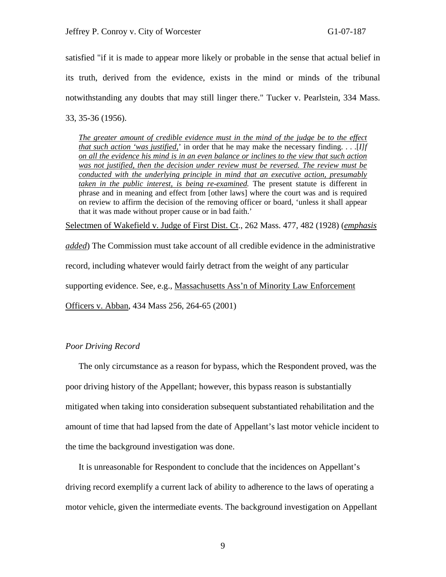satisfied "if it is made to appear more likely or probable in the sense that actual belief in its truth, derived from the evidence, exists in the mind or minds of the tribunal notwithstanding any doubts that may still linger there." Tucker v. Pearlstein, 334 Mass. 33, 35-36 (1956).

*The greater amount of credible evidence must in the mind of the judge be to the effect that such action 'was justified,*' in order that he may make the necessary finding. . . .[*I]f on all the evidence his mind is in an even balance or inclines to the view that such action was not justified, then the decision under review must be reversed. The review must be conducted with the underlying principle in mind that an executive action, presumably taken in the public interest, is being re-examined.* The present statute is different in phrase and in meaning and effect from [other laws] where the court was and is required on review to affirm the decision of the removing officer or board, 'unless it shall appear that it was made without proper cause or in bad faith.'

Selectmen of Wakefield v. Judge of First Dist. Ct., 262 Mass. 477, 482 (1928) (*emphasis*

*added*) The Commission must take account of all credible evidence in the administrative record, including whatever would fairly detract from the weight of any particular supporting evidence. See, e.g., Massachusetts Ass'n of Minority Law Enforcement

Officers v. Abban, 434 Mass 256, 264-65 (2001)

## *Poor Driving Record*

 The only circumstance as a reason for bypass, which the Respondent proved, was the poor driving history of the Appellant; however, this bypass reason is substantially mitigated when taking into consideration subsequent substantiated rehabilitation and the amount of time that had lapsed from the date of Appellant's last motor vehicle incident to the time the background investigation was done.

 It is unreasonable for Respondent to conclude that the incidences on Appellant's driving record exemplify a current lack of ability to adherence to the laws of operating a motor vehicle, given the intermediate events. The background investigation on Appellant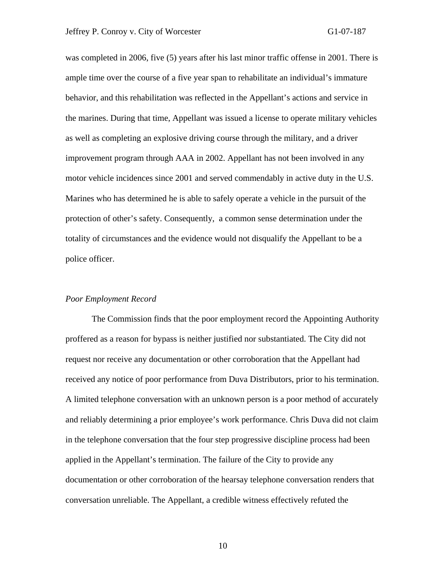was completed in 2006, five (5) years after his last minor traffic offense in 2001. There is ample time over the course of a five year span to rehabilitate an individual's immature behavior, and this rehabilitation was reflected in the Appellant's actions and service in the marines. During that time, Appellant was issued a license to operate military vehicles as well as completing an explosive driving course through the military, and a driver improvement program through AAA in 2002. Appellant has not been involved in any motor vehicle incidences since 2001 and served commendably in active duty in the U.S. Marines who has determined he is able to safely operate a vehicle in the pursuit of the protection of other's safety. Consequently, a common sense determination under the totality of circumstances and the evidence would not disqualify the Appellant to be a police officer.

### *Poor Employment Record*

 The Commission finds that the poor employment record the Appointing Authority proffered as a reason for bypass is neither justified nor substantiated. The City did not request nor receive any documentation or other corroboration that the Appellant had received any notice of poor performance from Duva Distributors, prior to his termination. A limited telephone conversation with an unknown person is a poor method of accurately and reliably determining a prior employee's work performance. Chris Duva did not claim in the telephone conversation that the four step progressive discipline process had been applied in the Appellant's termination. The failure of the City to provide any documentation or other corroboration of the hearsay telephone conversation renders that conversation unreliable. The Appellant, a credible witness effectively refuted the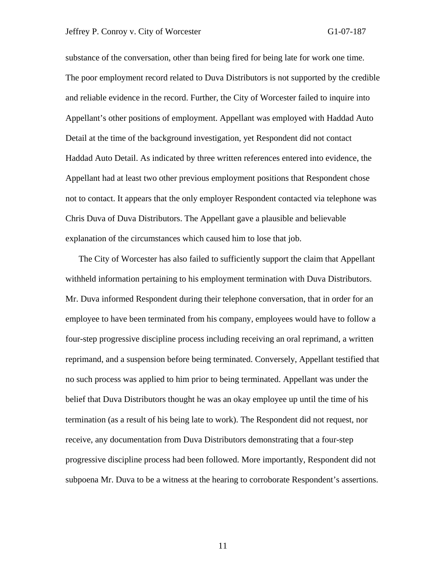#### Jeffrey P. Conroy v. City of Worcester G1-07-187

substance of the conversation, other than being fired for being late for work one time. The poor employment record related to Duva Distributors is not supported by the credible and reliable evidence in the record. Further, the City of Worcester failed to inquire into Appellant's other positions of employment. Appellant was employed with Haddad Auto Detail at the time of the background investigation, yet Respondent did not contact Haddad Auto Detail. As indicated by three written references entered into evidence, the Appellant had at least two other previous employment positions that Respondent chose not to contact. It appears that the only employer Respondent contacted via telephone was Chris Duva of Duva Distributors. The Appellant gave a plausible and believable explanation of the circumstances which caused him to lose that job.

 The City of Worcester has also failed to sufficiently support the claim that Appellant withheld information pertaining to his employment termination with Duva Distributors. Mr. Duva informed Respondent during their telephone conversation, that in order for an employee to have been terminated from his company, employees would have to follow a four-step progressive discipline process including receiving an oral reprimand, a written reprimand, and a suspension before being terminated. Conversely, Appellant testified that no such process was applied to him prior to being terminated. Appellant was under the belief that Duva Distributors thought he was an okay employee up until the time of his termination (as a result of his being late to work). The Respondent did not request, nor receive, any documentation from Duva Distributors demonstrating that a four-step progressive discipline process had been followed. More importantly, Respondent did not subpoena Mr. Duva to be a witness at the hearing to corroborate Respondent's assertions.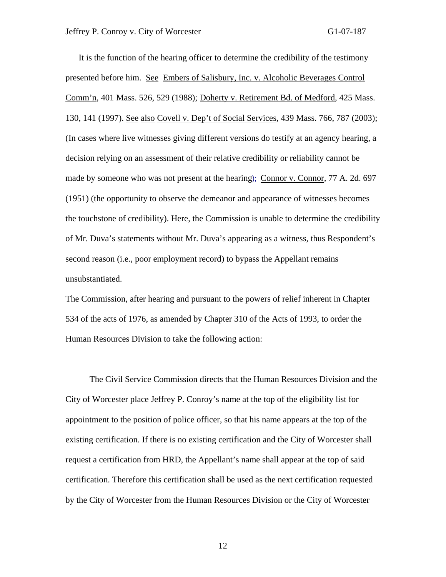It is the function of the hearing officer to determine the credibility of the testimony presented before him. See Embers of Salisbury, Inc. v. Alcoholic Beverages Control Comm'n, 401 Mass. 526, 529 (1988); Doherty v. Retirement Bd. of Medford, 425 Mass. 130, 141 (1997). See also Covell v. Dep't of Social Services, 439 Mass. 766, 787 (2003); (In cases where live witnesses giving different versions do testify at an agency hearing, a decision relying on an assessment of their relative credibility or reliability cannot be made by someone who was not present at the hearing); Connor v*.* Connor*,* 77 A. 2d. 697 (1951) (the opportunity to observe the demeanor and appearance of witnesses becomes the touchstone of credibility). Here, the Commission is unable to determine the credibility of Mr. Duva's statements without Mr. Duva's appearing as a witness, thus Respondent's second reason (i.e., poor employment record) to bypass the Appellant remains unsubstantiated.

The Commission, after hearing and pursuant to the powers of relief inherent in Chapter 534 of the acts of 1976, as amended by Chapter 310 of the Acts of 1993, to order the Human Resources Division to take the following action:

 The Civil Service Commission directs that the Human Resources Division and the City of Worcester place Jeffrey P. Conroy's name at the top of the eligibility list for appointment to the position of police officer, so that his name appears at the top of the existing certification. If there is no existing certification and the City of Worcester shall request a certification from HRD, the Appellant's name shall appear at the top of said certification. Therefore this certification shall be used as the next certification requested by the City of Worcester from the Human Resources Division or the City of Worcester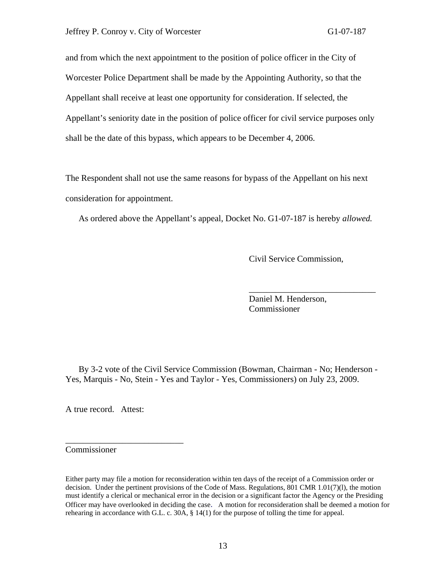and from which the next appointment to the position of police officer in the City of Worcester Police Department shall be made by the Appointing Authority, so that the Appellant shall receive at least one opportunity for consideration. If selected, the Appellant's seniority date in the position of police officer for civil service purposes only shall be the date of this bypass, which appears to be December 4, 2006.

The Respondent shall not use the same reasons for bypass of the Appellant on his next consideration for appointment.

As ordered above the Appellant's appeal, Docket No. G1-07-187 is hereby *allowed.* 

 $\overline{\phantom{a}}$  , and the contract of the contract of the contract of the contract of the contract of the contract of the contract of the contract of the contract of the contract of the contract of the contract of the contrac

Civil Service Commission,

 Daniel M. Henderson, Commissioner

 By 3-2 vote of the Civil Service Commission (Bowman, Chairman - No; Henderson - Yes, Marquis - No, Stein - Yes and Taylor - Yes, Commissioners) on July 23, 2009.

A true record. Attest:

\_\_\_\_\_\_\_\_\_\_\_\_\_\_\_\_\_\_\_\_\_\_\_\_\_\_\_

Commissioner

Either party may file a motion for reconsideration within ten days of the receipt of a Commission order or decision. Under the pertinent provisions of the Code of Mass. Regulations, 801 CMR 1.01(7)(1), the motion must identify a clerical or mechanical error in the decision or a significant factor the Agency or the Presiding Officer may have overlooked in deciding the case. A motion for reconsideration shall be deemed a motion for rehearing in accordance with G.L. c. 30A, § 14(1) for the purpose of tolling the time for appeal.